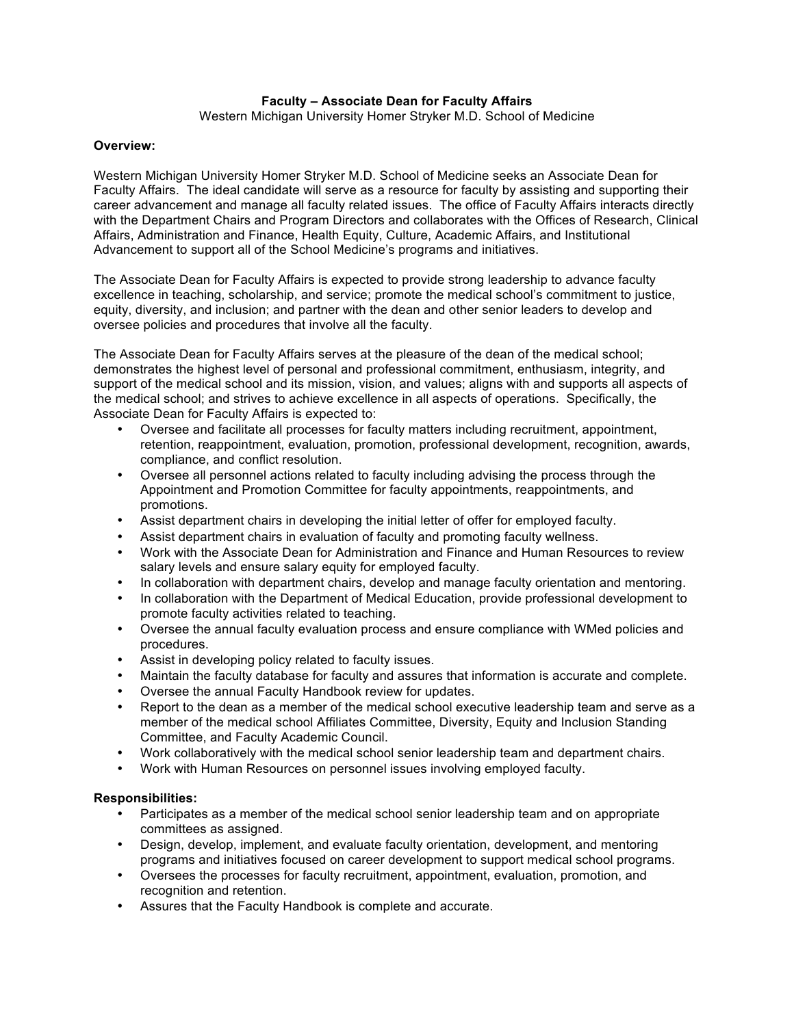# **Faculty – Associate Dean for Faculty Affairs**

Western Michigan University Homer Stryker M.D. School of Medicine

# **Overview:**

Western Michigan University Homer Stryker M.D. School of Medicine seeks an Associate Dean for Faculty Affairs. The ideal candidate will serve as a resource for faculty by assisting and supporting their career advancement and manage all faculty related issues. The office of Faculty Affairs interacts directly with the Department Chairs and Program Directors and collaborates with the Offices of Research, Clinical Affairs, Administration and Finance, Health Equity, Culture, Academic Affairs, and Institutional Advancement to support all of the School Medicine's programs and initiatives.

The Associate Dean for Faculty Affairs is expected to provide strong leadership to advance faculty excellence in teaching, scholarship, and service; promote the medical school's commitment to justice, equity, diversity, and inclusion; and partner with the dean and other senior leaders to develop and oversee policies and procedures that involve all the faculty.

The Associate Dean for Faculty Affairs serves at the pleasure of the dean of the medical school; demonstrates the highest level of personal and professional commitment, enthusiasm, integrity, and support of the medical school and its mission, vision, and values; aligns with and supports all aspects of the medical school; and strives to achieve excellence in all aspects of operations. Specifically, the Associate Dean for Faculty Affairs is expected to:

- Oversee and facilitate all processes for faculty matters including recruitment, appointment, retention, reappointment, evaluation, promotion, professional development, recognition, awards, compliance, and conflict resolution.
- Oversee all personnel actions related to faculty including advising the process through the Appointment and Promotion Committee for faculty appointments, reappointments, and promotions.
- Assist department chairs in developing the initial letter of offer for employed faculty.
- Assist department chairs in evaluation of faculty and promoting faculty wellness.
- Work with the Associate Dean for Administration and Finance and Human Resources to review salary levels and ensure salary equity for employed faculty.
- In collaboration with department chairs, develop and manage faculty orientation and mentoring.
- In collaboration with the Department of Medical Education, provide professional development to promote faculty activities related to teaching.
- Oversee the annual faculty evaluation process and ensure compliance with WMed policies and procedures.
- Assist in developing policy related to faculty issues.
- Maintain the faculty database for faculty and assures that information is accurate and complete.
- Oversee the annual Faculty Handbook review for updates.
- Report to the dean as a member of the medical school executive leadership team and serve as a member of the medical school Affiliates Committee, Diversity, Equity and Inclusion Standing Committee, and Faculty Academic Council.
- Work collaboratively with the medical school senior leadership team and department chairs.
- Work with Human Resources on personnel issues involving employed faculty.

### **Responsibilities:**

- Participates as a member of the medical school senior leadership team and on appropriate committees as assigned.
- Design, develop, implement, and evaluate faculty orientation, development, and mentoring programs and initiatives focused on career development to support medical school programs.
- Oversees the processes for faculty recruitment, appointment, evaluation, promotion, and recognition and retention.
- Assures that the Faculty Handbook is complete and accurate.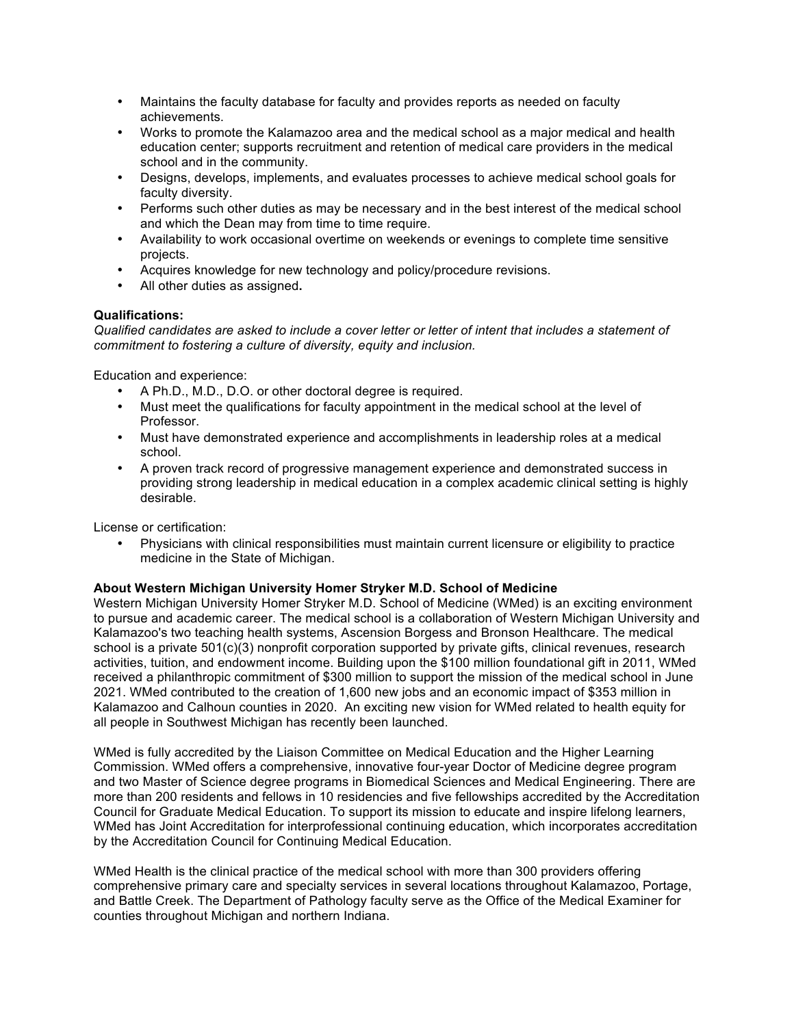- Maintains the faculty database for faculty and provides reports as needed on faculty achievements.
- Works to promote the Kalamazoo area and the medical school as a major medical and health education center; supports recruitment and retention of medical care providers in the medical school and in the community.
- Designs, develops, implements, and evaluates processes to achieve medical school goals for faculty diversity.
- Performs such other duties as may be necessary and in the best interest of the medical school and which the Dean may from time to time require.
- Availability to work occasional overtime on weekends or evenings to complete time sensitive projects.
- Acquires knowledge for new technology and policy/procedure revisions.
- All other duties as assigned**.**

# **Qualifications:**

*Qualified candidates are asked to include a cover letter or letter of intent that includes a statement of commitment to fostering a culture of diversity, equity and inclusion.*

Education and experience:

- A Ph.D., M.D., D.O. or other doctoral degree is required.
- Must meet the qualifications for faculty appointment in the medical school at the level of Professor.
- Must have demonstrated experience and accomplishments in leadership roles at a medical school.
- A proven track record of progressive management experience and demonstrated success in providing strong leadership in medical education in a complex academic clinical setting is highly desirable.

License or certification:

• Physicians with clinical responsibilities must maintain current licensure or eligibility to practice medicine in the State of Michigan.

### **About Western Michigan University Homer Stryker M.D. School of Medicine**

Western Michigan University Homer Stryker M.D. School of Medicine (WMed) is an exciting environment to pursue and academic career. The medical school is a collaboration of Western Michigan University and Kalamazoo's two teaching health systems, Ascension Borgess and Bronson Healthcare. The medical school is a private 501(c)(3) nonprofit corporation supported by private gifts, clinical revenues, research activities, tuition, and endowment income. Building upon the \$100 million foundational gift in 2011, WMed received a philanthropic commitment of \$300 million to support the mission of the medical school in June 2021. WMed contributed to the creation of 1,600 new jobs and an economic impact of \$353 million in Kalamazoo and Calhoun counties in 2020. An exciting new vision for WMed related to health equity for all people in Southwest Michigan has recently been launched.

WMed is fully accredited by the Liaison Committee on Medical Education and the Higher Learning Commission. WMed offers a comprehensive, innovative four-year Doctor of Medicine degree program and two Master of Science degree programs in Biomedical Sciences and Medical Engineering. There are more than 200 residents and fellows in 10 residencies and five fellowships accredited by the Accreditation Council for Graduate Medical Education. To support its mission to educate and inspire lifelong learners, WMed has Joint Accreditation for interprofessional continuing education, which incorporates accreditation by the Accreditation Council for Continuing Medical Education.

WMed Health is the clinical practice of the medical school with more than 300 providers offering comprehensive primary care and specialty services in several locations throughout Kalamazoo, Portage, and Battle Creek. The Department of Pathology faculty serve as the Office of the Medical Examiner for counties throughout Michigan and northern Indiana.